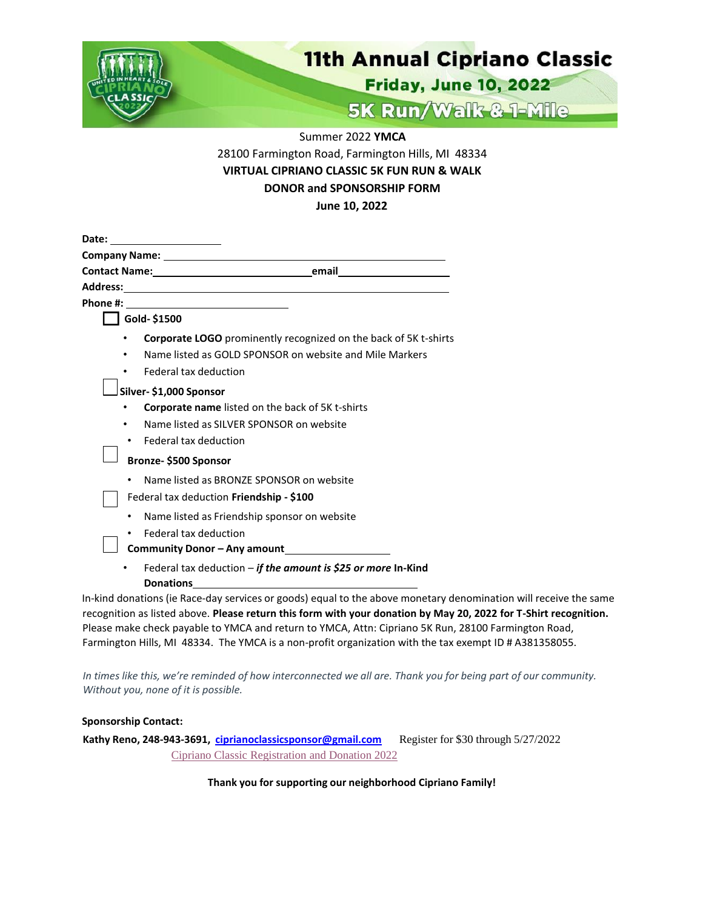

Summer 2022 **YMCA**

28100 Farmington Road, Farmington Hills, MI 48334 **VIRTUAL CIPRIANO CLASSIC 5K FUN RUN & WALK DONOR and SPONSORSHIP FORM June 10, 2022**

|           | Company Name: Law Management Company Name:                                                                                                                                                |
|-----------|-------------------------------------------------------------------------------------------------------------------------------------------------------------------------------------------|
|           |                                                                                                                                                                                           |
|           |                                                                                                                                                                                           |
|           |                                                                                                                                                                                           |
|           | Gold-\$1500                                                                                                                                                                               |
| ٠         | <b>Corporate LOGO</b> prominently recognized on the back of 5K t-shirts                                                                                                                   |
| ٠         | Name listed as GOLD SPONSOR on website and Mile Markers                                                                                                                                   |
| ٠         | Federal tax deduction                                                                                                                                                                     |
|           | Silver-\$1,000 Sponsor                                                                                                                                                                    |
|           | Corporate name listed on the back of 5K t-shirts                                                                                                                                          |
| ٠         | Name listed as SILVER SPONSOR on website                                                                                                                                                  |
| ٠         | Federal tax deduction                                                                                                                                                                     |
|           | Bronze-\$500 Sponsor                                                                                                                                                                      |
| $\bullet$ | Name listed as BRONZE SPONSOR on website                                                                                                                                                  |
|           | Federal tax deduction Friendship - \$100                                                                                                                                                  |
| ٠         | Name listed as Friendship sponsor on website                                                                                                                                              |
| ٠         | Federal tax deduction                                                                                                                                                                     |
|           | Community Donor - Any amount<br><u>Langelling</u>                                                                                                                                         |
| ٠         | Federal tax deduction - if the amount is \$25 or more In-Kind<br><b>Donations</b>                                                                                                         |
|           | In-kind donations (ie Race-day services or goods) equal to the above monetary denomination<br>recognition as listed above. Please return this form with your donation by May 20, 2022 for |

will receive the same recognition as listed above. **Please return this form with your donation by May 20, 2022 for T-Shirt recognition.** Please make check payable to YMCA and return to YMCA, Attn: Cipriano 5K Run, 28100 Farmington Road, Farmington Hills, MI 48334. The YMCA is a non-profit organization with the tax exempt ID # A381358055.

In times like this, we're reminded of how interconnected we all are. Thank you for being part of our community. *Without you, none of it is possible.*

## **Sponsorship Contact:**

**Kathy Reno, 248-943-3691, [ciprianoclassicsponsor@gmail.com](mailto:ciprianoclassicsponsor@gmail.com)** Register for \$30 through 5/27/2022 [Cipriano Classic](https://ciprianoclassic.enmotive.com/events/register/2022-cipriano-classic-5k-1-mile) Registration and Donation 2022

## **Thank you for supporting our neighborhood Cipriano Family!**